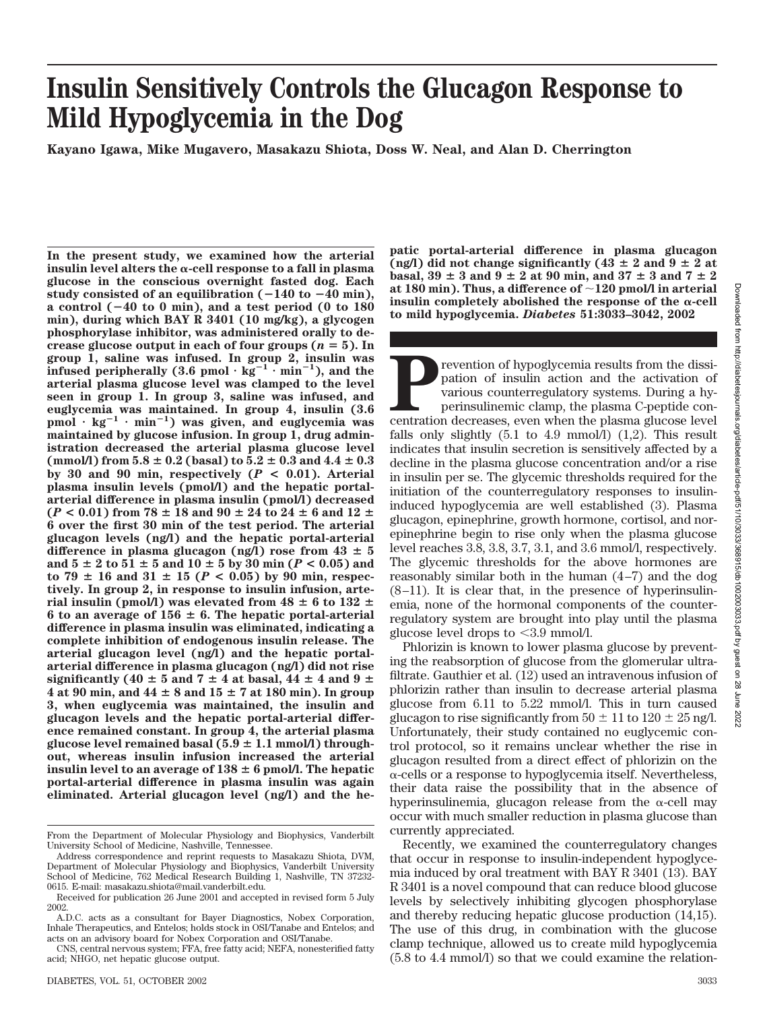# **Insulin Sensitively Controls the Glucagon Response to Mild Hypoglycemia in the Dog**

**Kayano Igawa, Mike Mugavero, Masakazu Shiota, Doss W. Neal, and Alan D. Cherrington**

**In the present study, we examined how the arterial** insulin level alters the  $\alpha$ -cell response to a fall in plasma **glucose in the conscious overnight fasted dog. Each** study consisted of an equilibration  $(-140 \text{ to } -40 \text{ min}),$ **a control (**-**40 to 0 min), and a test period (0 to 180 min), during which BAY R 3401 (10 mg/kg), a glycogen phosphorylase inhibitor, was administered orally to decrease glucose output in each of four groups**  $(n = 5)$ **. In group 1, saline was infused. In group 2, insulin was** infused peripherally  $(3.6 \text{ pmol} \cdot \text{kg}^{-1} \cdot \text{min}^{-1})$ , and the **arterial plasma glucose level was clamped to the level seen in group 1. In group 3, saline was infused, and euglycemia was maintained. In group 4, insulin (3.6**  $p$ mol  $\cdot$   $kg^{-1}$   $\cdot$  min<sup>-1</sup>) was given, and euglycemia was **maintained by glucose infusion. In group 1, drug administration decreased the arterial plasma glucose level**  $(mmol/l)$  from  $5.8 \pm 0.2$  (basal) to  $5.2 \pm 0.3$  and  $4.4 \pm 0.3$ by 30 and 90 min, respectively  $(P < 0.01)$ . Arterial **plasma insulin levels (pmol/l) and the hepatic portalarterial difference in plasma insulin (pmol/l) decreased**  $(P < 0.01)$  from 78  $\pm$  18 and 90  $\pm$  24 to 24  $\pm$  6 and 12  $\pm$ **6 over the first 30 min of the test period. The arterial glucagon levels (ng/l) and the hepatic portal-arterial** difference in plasma glucagon (ng/l) rose from  $43 \pm 5$ **and**  $5 \pm 2$  to  $51 \pm 5$  and  $10 \pm 5$  by 30 min (*P* < 0.05) and  $\text{to } 79 \pm 16 \text{ and } 31 \pm 15 \text{ (}P < 0.05) \text{ by } 90 \text{ min, respec-}$ **tively. In group 2, in response to insulin infusion, arte**rial insulin (pmol/l) was elevated from  $48 \pm 6$  to  $132 \pm 1$ 6 to an average of  $156 \pm 6$ . The hepatic portal-arterial **difference in plasma insulin was eliminated, indicating a complete inhibition of endogenous insulin release. The arterial glucagon level (ng/l) and the hepatic portalarterial difference in plasma glucagon (ng/l) did not rise significantly** (40  $\pm$  5 and 7  $\pm$  4 at basal, 44  $\pm$  4 and 9  $\pm$  $4$  at 90 min, and  $44 \pm 8$  and  $15 \pm 7$  at 180 min). In group **3, when euglycemia was maintained, the insulin and glucagon levels and the hepatic portal-arterial difference remained constant. In group 4, the arterial plasma** glucose level remained basal  $(5.9 \pm 1.1 \text{ mmol/l})$  through**out, whereas insulin infusion increased the arterial insulin level to an average of**  $138 \pm 6$  **pmol/l. The hepatic portal-arterial difference in plasma insulin was again eliminated. Arterial glucagon level (ng/l) and the he-** **patic portal-arterial difference in plasma glucagon** (ng/l) did not change significantly  $(43 \pm 2 \text{ and } 9 \pm 2 \text{ at } 2)$ **basal,**  $39 \pm 3$  and  $9 \pm 2$  at 90 min, and  $37 \pm 3$  and  $7 \pm 2$ **at 180 min). Thus, a difference of 120 pmol/l in arterial** insulin completely abolished the response of the  $\alpha$ -cell **to mild hypoglycemia.** *Diabetes* **51:3033–3042, 2002**

**Prevention of hypoglycemia results from the dissipation of insulin action and the activation of various counterregulatory systems. During a hyperinsulinemic clamp, the plasma C-peptide concentration decreases, even when t** pation of insulin action and the activation of various counterregulatory systems. During a hyperinsulinemic clamp, the plasma C-peptide confalls only slightly  $(5.1 \text{ to } 4.9 \text{ mmol/l})$   $(1,2)$ . This result indicates that insulin secretion is sensitively affected by a decline in the plasma glucose concentration and/or a rise in insulin per se. The glycemic thresholds required for the initiation of the counterregulatory responses to insulininduced hypoglycemia are well established (3). Plasma glucagon, epinephrine, growth hormone, cortisol, and norepinephrine begin to rise only when the plasma glucose level reaches 3.8, 3.8, 3.7, 3.1, and 3.6 mmol/l, respectively. The glycemic thresholds for the above hormones are reasonably similar both in the human (4–7) and the dog (8–11). It is clear that, in the presence of hyperinsulinemia, none of the hormonal components of the counterregulatory system are brought into play until the plasma glucose level drops to  $\leq 3.9$  mmol/l.

Phlorizin is known to lower plasma glucose by preventing the reabsorption of glucose from the glomerular ultrafiltrate. Gauthier et al. (12) used an intravenous infusion of phlorizin rather than insulin to decrease arterial plasma glucose from 6.11 to 5.22 mmol/l. This in turn caused glucagon to rise significantly from  $50 \pm 11$  to  $120 \pm 25$  ng/l. Unfortunately, their study contained no euglycemic control protocol, so it remains unclear whether the rise in glucagon resulted from a direct effect of phlorizin on the  $\alpha$ -cells or a response to hypoglycemia itself. Nevertheless, their data raise the possibility that in the absence of hyperinsulinemia, glucagon release from the  $\alpha$ -cell may occur with much smaller reduction in plasma glucose than currently appreciated.

Recently, we examined the counterregulatory changes that occur in response to insulin-independent hypoglycemia induced by oral treatment with BAY R 3401 (13). BAY R 3401 is a novel compound that can reduce blood glucose levels by selectively inhibiting glycogen phosphorylase and thereby reducing hepatic glucose production (14,15). The use of this drug, in combination with the glucose clamp technique, allowed us to create mild hypoglycemia (5.8 to 4.4 mmol/l) so that we could examine the relation-

From the Department of Molecular Physiology and Biophysics, Vanderbilt University School of Medicine, Nashville, Tennessee.

Address correspondence and reprint requests to Masakazu Shiota, DVM, Department of Molecular Physiology and Biophysics, Vanderbilt University School of Medicine, 762 Medical Research Building 1, Nashville, TN 37232- 0615. E-mail: masakazu.shiota@mail.vanderbilt.edu.

Received for publication 26 June 2001 and accepted in revised form 5 July 2002.

A.D.C. acts as a consultant for Bayer Diagnostics, Nobex Corporation, Inhale Therapeutics, and Entelos; holds stock in OSI/Tanabe and Entelos; and acts on an advisory board for Nobex Corporation and OSI/Tanabe.

CNS, central nervous system; FFA, free fatty acid; NEFA, nonesterified fatty acid; NHGO, net hepatic glucose output.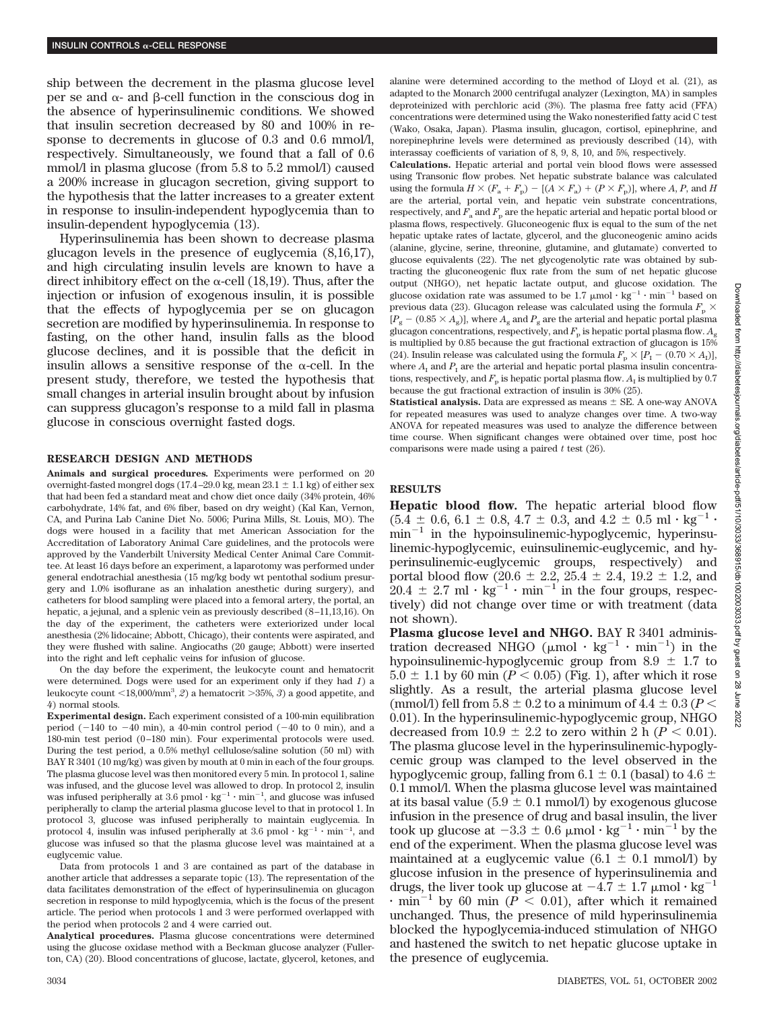ship between the decrement in the plasma glucose level per se and  $\alpha$ - and  $\beta$ -cell function in the conscious dog in the absence of hyperinsulinemic conditions. We showed that insulin secretion decreased by 80 and 100% in response to decrements in glucose of 0.3 and 0.6 mmol/l, respectively. Simultaneously, we found that a fall of 0.6 mmol/l in plasma glucose (from 5.8 to 5.2 mmol/l) caused a 200% increase in glucagon secretion, giving support to the hypothesis that the latter increases to a greater extent in response to insulin-independent hypoglycemia than to insulin-dependent hypoglycemia (13).

Hyperinsulinemia has been shown to decrease plasma glucagon levels in the presence of euglycemia (8,16,17), and high circulating insulin levels are known to have a direct inhibitory effect on the  $\alpha$ -cell (18,19). Thus, after the injection or infusion of exogenous insulin, it is possible that the effects of hypoglycemia per se on glucagon secretion are modified by hyperinsulinemia. In response to fasting, on the other hand, insulin falls as the blood glucose declines, and it is possible that the deficit in insulin allows a sensitive response of the  $\alpha$ -cell. In the present study, therefore, we tested the hypothesis that small changes in arterial insulin brought about by infusion can suppress glucagon's response to a mild fall in plasma glucose in conscious overnight fasted dogs.

# **RESEARCH DESIGN AND METHODS**

**Animals and surgical procedures***.* Experiments were performed on 20 overnight-fasted mongrel dogs (17.4–29.0 kg, mean  $23.1 \pm 1.1$  kg) of either sex that had been fed a standard meat and chow diet once daily (34% protein, 46% carbohydrate, 14% fat, and 6% fiber, based on dry weight) (Kal Kan, Vernon, CA, and Purina Lab Canine Diet No. 5006; Purina Mills, St. Louis, MO). The dogs were housed in a facility that met American Association for the Accreditation of Laboratory Animal Care guidelines, and the protocols were approved by the Vanderbilt University Medical Center Animal Care Committee. At least 16 days before an experiment, a laparotomy was performed under general endotrachial anesthesia (15 mg/kg body wt pentothal sodium presurgery and 1.0% isoflurane as an inhalation anesthetic during surgery), and catheters for blood sampling were placed into a femoral artery, the portal, an hepatic, a jejunal, and a splenic vein as previously described (8–11,13,16). On the day of the experiment, the catheters were exteriorized under local anesthesia (2% lidocaine; Abbott, Chicago), their contents were aspirated, and they were flushed with saline. Angiocaths (20 gauge; Abbott) were inserted into the right and left cephalic veins for infusion of glucose.

On the day before the experiment, the leukocyte count and hematocrit were determined. Dogs were used for an experiment only if they had *1*) a leukocyte count <18,000/mm<sup>3</sup>, *2*) a hematocrit >35%, *3*) a good appetite, and *4*) normal stools.

**Experimental design.** Each experiment consisted of a 100-min equilibration period  $(-140 \text{ to } -40 \text{ min})$ , a 40-min control period  $(-40 \text{ to } 0 \text{ min})$ , and a 180-min test period (0–180 min). Four experimental protocols were used. During the test period, a 0.5% methyl cellulose/saline solution (50 ml) with BAY R 3401 (10 mg/kg) was given by mouth at 0 min in each of the four groups. The plasma glucose level was then monitored every 5 min. In protocol 1, saline was infused, and the glucose level was allowed to drop. In protocol 2, insulin was infused peripherally at 3.6 pmol  $\cdot$  kg<sup>-1</sup>  $\cdot$  min<sup>-1</sup>, and glucose was infused peripherally to clamp the arterial plasma glucose level to that in protocol 1. In protocol 3, glucose was infused peripherally to maintain euglycemia. In protocol 4, insulin was infused peripherally at 3.6 pmol  $\cdot$  kg<sup>-1</sup>  $\cdot$  min<sup>-1</sup>, and glucose was infused so that the plasma glucose level was maintained at a euglycemic value.

Data from protocols 1 and 3 are contained as part of the database in another article that addresses a separate topic (13). The representation of the data facilitates demonstration of the effect of hyperinsulinemia on glucagon secretion in response to mild hypoglycemia, which is the focus of the present article. The period when protocols 1 and 3 were performed overlapped with the period when protocols 2 and 4 were carried out.

**Analytical procedures.** Plasma glucose concentrations were determined using the glucose oxidase method with a Beckman glucose analyzer (Fullerton, CA) (20). Blood concentrations of glucose, lactate, glycerol, ketones, and

alanine were determined according to the method of Lloyd et al. (21), as adapted to the Monarch 2000 centrifugal analyzer (Lexington, MA) in samples deproteinized with perchloric acid (3%). The plasma free fatty acid (FFA) concentrations were determined using the Wako nonesterified fatty acid C test (Wako, Osaka, Japan). Plasma insulin, glucagon, cortisol, epinephrine, and norepinephrine levels were determined as previously described (14), with interassay coefficients of variation of 8, 9, 8, 10, and 5%, respectively.

**Calculations.** Hepatic arterial and portal vein blood flows were assessed using Transonic flow probes. Net hepatic substrate balance was calculated using the formula  $H \times (F_a + F_p) - [(A \times F_a) + (P \times F_p)]$ , where *A*, *P*, and *H* are the arterial, portal vein, and hepatic vein substrate concentrations, respectively, and  $\overline{F}_a$  and  $F_p$  are the hepatic arterial and hepatic portal blood or plasma flows, respectively. Gluconeogenic flux is equal to the sum of the net hepatic uptake rates of lactate, glycerol, and the gluconeogenic amino acids (alanine, glycine, serine, threonine, glutamine, and glutamate) converted to glucose equivalents (22). The net glycogenolytic rate was obtained by subtracting the gluconeogenic flux rate from the sum of net hepatic glucose output (NHGO), net hepatic lactate output, and glucose oxidation. The glucose oxidation rate was assumed to be 1.7  $\mu$ mol  $\cdot$  kg<sup>-1</sup>  $\cdot$  min<sup>-1</sup> based on previous data (23). Glucagon release was calculated using the formula  $F_p \times$  $[P_{g} = (0.85 \times A_{g})]$ , where  $A_{g}$  and  $P_{g}$  are the arterial and hepatic portal plasma glucagon concentrations, respectively, and  $F_p$  is hepatic portal plasma flow.  $A_g$ is multiplied by 0.85 because the gut fractional extraction of glucagon is 15% (24). Insulin release was calculated using the formula  $F_p \times [P_I - (0.70 \times A_I)],$ where  $A<sub>I</sub>$  and  $P<sub>I</sub>$  are the arterial and hepatic portal plasma insulin concentrations, respectively, and  $F_p$  is hepatic portal plasma flow.  $A_I$  is multiplied by 0.7 because the gut fractional extraction of insulin is 30% (25).

**Statistical analysis.** Data are expressed as means  $\pm$  SE. A one-way ANOVA for repeated measures was used to analyze changes over time. A two-way ANOVA for repeated measures was used to analyze the difference between time course. When significant changes were obtained over time, post hoc comparisons were made using a paired *t* test (26).

# **RESULTS**

**Hepatic blood flow***.* The hepatic arterial blood flow  $(5.4 \pm 0.6, 6.1 \pm 0.8, 4.7 \pm 0.3, \text{ and } 4.2 \pm 0.5 \text{ ml} \cdot \text{kg}^{-1} \cdot$  $min^{-1}$  in the hypoinsulinemic-hypoglycemic, hyperinsulinemic-hypoglycemic, euinsulinemic-euglycemic, and hyperinsulinemic-euglycemic groups, respectively) and portal blood flow  $(20.6 \pm 2.2, 25.4 \pm 2.4, 19.2 \pm 1.2,$  and  $20.4 \pm 2.7$  ml  $\cdot$  kg<sup>-1</sup>  $\cdot$  min<sup>-1</sup> in the four groups, respectively) did not change over time or with treatment (data not shown).

**Plasma glucose level and NHGO.** BAY R 3401 administration decreased NHGO ( $\mu$ mol · kg<sup>-1</sup> · min<sup>-1</sup>) in the hypoinsulinemic-hypoglycemic group from  $8.9 \pm 1.7$  to  $5.0 \pm 1.1$  by 60 min ( $P < 0.05$ ) (Fig. 1), after which it rose slightly. As a result, the arterial plasma glucose level (mmol/l) fell from  $5.8 \pm 0.2$  to a minimum of  $4.4 \pm 0.3$  ( $P$   $<$ 0.01). In the hyperinsulinemic-hypoglycemic group, NHGO decreased from  $10.9 \pm 2.2$  to zero within 2 h ( $P < 0.01$ ). The plasma glucose level in the hyperinsulinemic-hypoglycemic group was clamped to the level observed in the hypoglycemic group, falling from 6.1  $\pm$  0.1 (basal) to 4.6  $\pm$ 0.1 mmol/l. When the plasma glucose level was maintained at its basal value (5.9  $\pm$  0.1 mmol/l) by exogenous glucose infusion in the presence of drug and basal insulin, the liver took up glucose at  $-3.3 \pm 0.6 \mu$  mol  $\cdot$  kg<sup>-1</sup>  $\cdot$  min<sup>-1</sup> by the end of the experiment. When the plasma glucose level was maintained at a euglycemic value (6.1  $\pm$  0.1 mmol/l) by glucose infusion in the presence of hyperinsulinemia and drugs, the liver took up glucose at  $-4.7 \pm 1.7$  µmol·kg<sup>-1</sup>  $\cdot$  min<sup>-1</sup> by 60 min ( $\overline{P}$  < 0.01), after which it remained unchanged. Thus, the presence of mild hyperinsulinemia blocked the hypoglycemia-induced stimulation of NHGO and hastened the switch to net hepatic glucose uptake in the presence of euglycemia.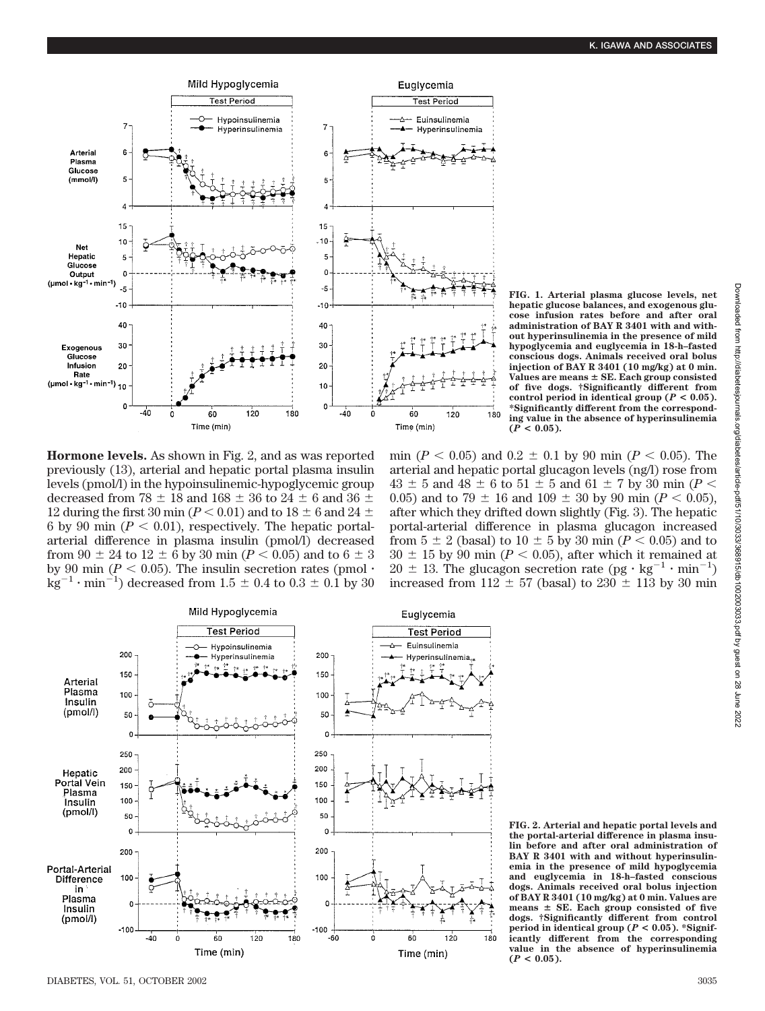



**Hormone levels.** As shown in Fig. 2, and as was reported previously (13), arterial and hepatic portal plasma insulin levels (pmol/l) in the hypoinsulinemic-hypoglycemic group decreased from 78  $\pm$  18 and 168  $\pm$  36 to 24  $\pm$  6 and 36  $\pm$ 12 during the first 30 min ( $P < 0.01$ ) and to 18  $\pm$  6 and 24  $\pm$ 6 by 90 min  $(P < 0.01)$ , respectively. The hepatic portalarterial difference in plasma insulin (pmol/l) decreased from  $90 \pm 24$  to  $12 \pm 6$  by  $30$  min  $(P < 0.05)$  and to  $6 \pm 3$ by 90 min ( $P < 0.05$ ). The insulin secretion rates (pmol  $\cdot$  $kg^{-1} \cdot min^{-1}$  decreased from 1.5  $\pm$  0.4 to 0.3  $\pm$  0.1 by 30

min ( $P < 0.05$ ) and  $0.2 \pm 0.1$  by 90 min ( $P < 0.05$ ). The arterial and hepatic portal glucagon levels (ng/l) rose from  $43 \pm 5$  and  $48 \pm 6$  to  $51 \pm 5$  and  $61 \pm 7$  by 30 min (*P* < 0.05) and to  $79 \pm 16$  and  $109 \pm 30$  by 90 min ( $P < 0.05$ ), after which they drifted down slightly (Fig. 3). The hepatic portal-arterial difference in plasma glucagon increased from  $5 \pm 2$  (basal) to  $10 \pm 5$  by 30 min ( $P < 0.05$ ) and to  $30 \pm 15$  by  $90$  min ( $P < 0.05$ ), after which it remained at  $20 \pm 13$ . The glucagon secretion rate  $(ps \cdot \text{kg}^{-1} \cdot \text{min}^{-1})$ increased from  $112 \pm 57$  (basal) to  $230 \pm 113$  by 30 min

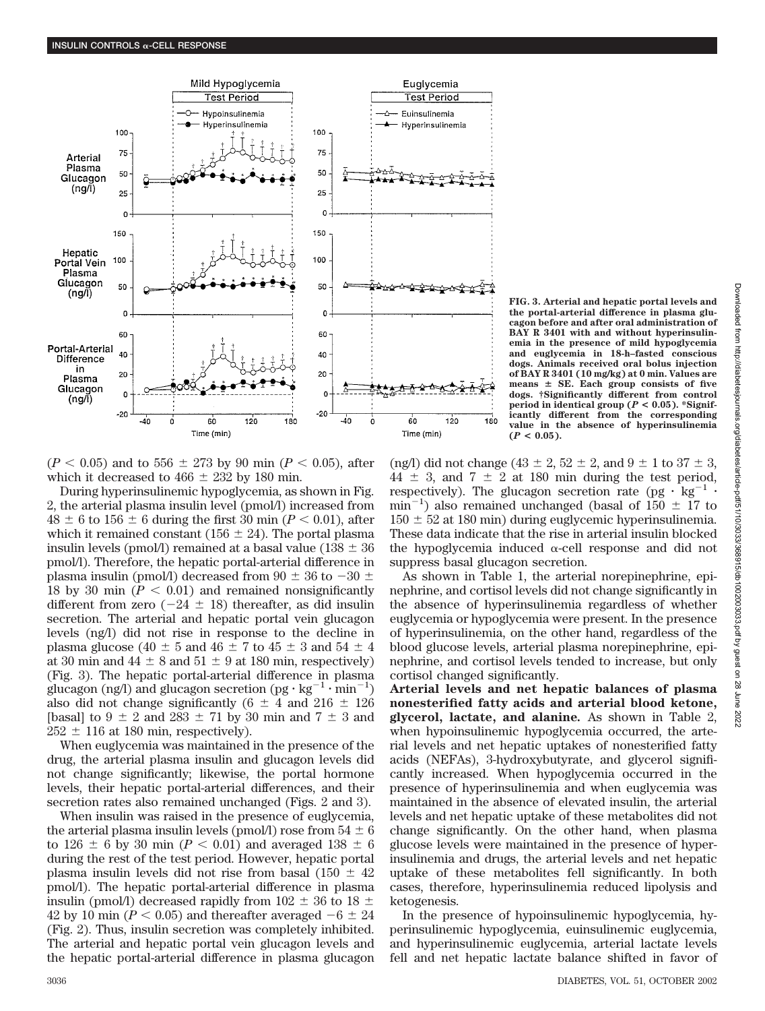

 $(P < 0.05)$  and to 556  $\pm$  273 by 90 min ( $P < 0.05$ ), after which it decreased to  $466 \pm 232$  by 180 min.

During hyperinsulinemic hypoglycemia, as shown in Fig. 2, the arterial plasma insulin level (pmol/l) increased from  $48 \pm 6$  to  $156 \pm 6$  during the first 30 min ( $P < 0.01$ ), after which it remained constant (156  $\pm$  24). The portal plasma insulin levels (pmol/l) remained at a basal value ( $138 \pm 36$ ) pmol/l). Therefore, the hepatic portal-arterial difference in plasma insulin (pmol/l) decreased from  $90 \pm 36$  to  $-30 \pm 36$ 18 by 30 min  $(P < 0.01)$  and remained nonsignificantly different from zero ( $-24 \pm 18$ ) thereafter, as did insulin secretion. The arterial and hepatic portal vein glucagon levels (ng/l) did not rise in response to the decline in plasma glucose (40  $\pm$  5 and 46  $\pm$  7 to 45  $\pm$  3 and 54  $\pm$  4 at 30 min and 44  $\pm$  8 and 51  $\pm$  9 at 180 min, respectively) (Fig. 3). The hepatic portal-arterial difference in plasma glucagon (ng/l) and glucagon secretion (pg  $\cdot$  kg<sup>-1</sup> $\cdot$ min<sup>-1</sup>) also did not change significantly (6  $\pm$  4 and 216  $\pm$  126 [basal] to  $9 \pm 2$  and  $283 \pm 71$  by 30 min and  $7 \pm 3$  and  $252 \pm 116$  at 180 min, respectively).

When euglycemia was maintained in the presence of the drug, the arterial plasma insulin and glucagon levels did not change significantly; likewise, the portal hormone levels, their hepatic portal-arterial differences, and their secretion rates also remained unchanged (Figs. 2 and 3).

When insulin was raised in the presence of euglycemia, the arterial plasma insulin levels (pmol/l) rose from  $54 \pm 6$ to  $126 \pm 6$  by 30 min ( $P < 0.01$ ) and averaged  $138 \pm 6$ during the rest of the test period. However, hepatic portal plasma insulin levels did not rise from basal (150  $\pm$  42 pmol/l). The hepatic portal-arterial difference in plasma insulin (pmol/l) decreased rapidly from 102  $\pm$  36 to 18  $\pm$  $42$  by  $10$  min ( $P < 0.05$ ) and thereafter averaged  $-6 \pm 24$ (Fig. 2). Thus, insulin secretion was completely inhibited. The arterial and hepatic portal vein glucagon levels and the hepatic portal-arterial difference in plasma glucagon **FIG. 3. Arterial and hepatic portal levels and the portal-arterial difference in plasma glucagon before and after oral administration of BAY R 3401 with and without hyperinsulinemia in the presence of mild hypoglycemia and euglycemia in 18-h–fasted conscious dogs. Animals received oral bolus injection of BAY R 3401 (10 mg/kg) at 0 min. Values are means SE. Each group consists of five dogs. †Significantly different from control period in identical group (***P* **< 0.05). \*Significantly different from the corresponding value in the absence of hyperinsulinemia**  $(P < 0.05)$ .

(ng/l) did not change (43  $\pm$  2, 52  $\pm$  2, and 9  $\pm$  1 to 37  $\pm$  3,  $44 \pm 3$ , and  $7 \pm 2$  at 180 min during the test period, respectively). The glucagon secretion rate (pg  $\cdot$  kg<sup>-1</sup>.  $\min^{-1}$ ) also remained unchanged (basal of  $150 \pm 17$  to  $150 \pm 52$  at 180 min) during euglycemic hyperinsulinemia. These data indicate that the rise in arterial insulin blocked the hypoglycemia induced  $\alpha$ -cell response and did not suppress basal glucagon secretion.

As shown in Table 1, the arterial norepinephrine, epinephrine, and cortisol levels did not change significantly in the absence of hyperinsulinemia regardless of whether euglycemia or hypoglycemia were present. In the presence of hyperinsulinemia, on the other hand, regardless of the blood glucose levels, arterial plasma norepinephrine, epinephrine, and cortisol levels tended to increase, but only cortisol changed significantly.

**Arterial levels and net hepatic balances of plasma nonesterified fatty acids and arterial blood ketone, glycerol, lactate, and alanine***.* As shown in Table 2, when hypoinsulinemic hypoglycemia occurred, the arterial levels and net hepatic uptakes of nonesterified fatty acids (NEFAs), 3-hydroxybutyrate, and glycerol significantly increased. When hypoglycemia occurred in the presence of hyperinsulinemia and when euglycemia was maintained in the absence of elevated insulin, the arterial levels and net hepatic uptake of these metabolites did not change significantly. On the other hand, when plasma glucose levels were maintained in the presence of hyperinsulinemia and drugs, the arterial levels and net hepatic uptake of these metabolites fell significantly. In both cases, therefore, hyperinsulinemia reduced lipolysis and ketogenesis.

In the presence of hypoinsulinemic hypoglycemia, hyperinsulinemic hypoglycemia, euinsulinemic euglycemia, and hyperinsulinemic euglycemia, arterial lactate levels fell and net hepatic lactate balance shifted in favor of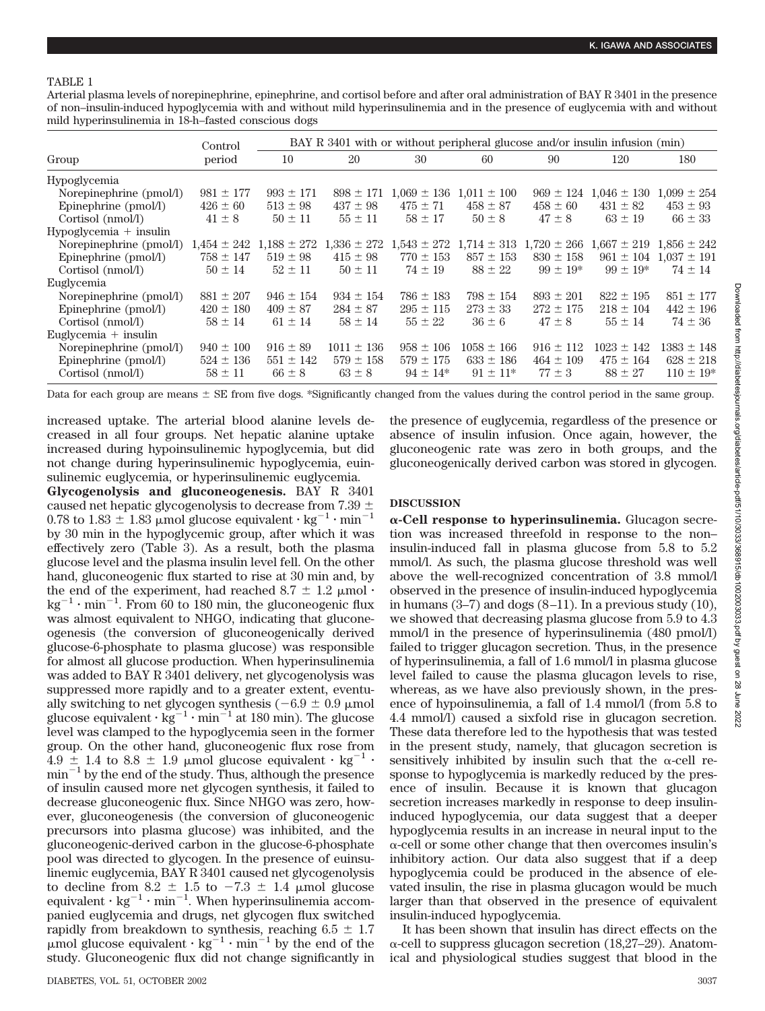# TABLE 1

Arterial plasma levels of norepinephrine, epinephrine, and cortisol before and after oral administration of BAY R 3401 in the presence of non–insulin-induced hypoglycemia with and without mild hyperinsulinemia and in the presence of euglycemia with and without mild hyperinsulinemia in 18-h–fasted conscious dogs

|                          | Control         | BAY R 3401 with or without peripheral glucose and/or insulin infusion (min) |                 |                 |                 |                                 |                 |                                 |
|--------------------------|-----------------|-----------------------------------------------------------------------------|-----------------|-----------------|-----------------|---------------------------------|-----------------|---------------------------------|
| period<br>Group          |                 | 10                                                                          | 20              | 30              | 60              | 90                              | 120             | 180                             |
| Hypoglycemia             |                 |                                                                             |                 |                 |                 |                                 |                 |                                 |
| Norepinephrine (pmol/l)  | $981 \pm 177$   | $993 \pm 171$                                                               | $898 \pm 171$   | $1.069 \pm 136$ | $1,011 \pm 100$ | $969 \pm 124$                   | $1,046 \pm 130$ | $1,099 \pm 254$                 |
| Epinephrine (pmol/l)     | $426 \pm 60$    | $513 \pm 98$                                                                | $437 \pm 98$    | $475 \pm 71$    | $458 \pm 87$    | $458 \pm 60$                    | $431 \pm 82$    | $453 \pm 93$                    |
| Cortisol (nmol/l)        | $41 \pm 8$      | $50 \pm 11$                                                                 | $55 \pm 11$     | $58 \pm 17$     | $50 \pm 8$      | $47 \pm 8$                      | $63 \pm 19$     | $66 \pm 33$                     |
| $Hypoglycemia + insulin$ |                 |                                                                             |                 |                 |                 |                                 |                 |                                 |
| Norepinephrine (pmol/l)  | $1,454 \pm 242$ | $1,188 \pm 272$                                                             | $1,336 \pm 272$ | $1,543 \pm 272$ |                 | $1,714 \pm 313$ $1,720 \pm 266$ |                 | $1,667 \pm 219$ $1,856 \pm 242$ |
| Epinephrine (pmol/l)     | $758 \pm 147$   | $519 \pm 98$                                                                | $415 \pm 98$    | $770 \pm 153$   | $857 \pm 153$   | $830 \pm 158$                   |                 | $961 \pm 104$ $1,037 \pm 191$   |
| Cortisol (nmol/l)        | $50 \pm 14$     | $52 \pm 11$                                                                 | $50 \pm 11$     | $74 \pm 19$     | $88 \pm 22$     | $.99 \pm 19*$                   | $99 \pm 19*$    | $74 \pm 14$                     |
| Euglycemia               |                 |                                                                             |                 |                 |                 |                                 |                 |                                 |
| Norepinephrine (pmol/l)  | $881 \pm 207$   | $946 \pm 154$                                                               | $934 \pm 154$   | $786 \pm 183$   | $798 \pm 154$   | $893 \pm 201$                   | $822 \pm 195$   | $851 \pm 177$                   |
| Epinephrine (pmol/l)     | $420 \pm 180$   | $409 \pm 87$                                                                | $284 \pm 87$    | $295 \pm 115$   | $273 \pm 33$    | $272 \pm 175$                   | $218 \pm 104$   | $442 \pm 196$                   |
| Cortisol (nmol/l)        | $58 \pm 14$     | $61 \pm 14$                                                                 | $58 \pm 14$     | $55 \pm 22$     | $36 \pm 6$      | $47 \pm 8$                      | $55 \pm 14$     | $74 \pm 36$                     |
| Euglycemia $+$ insulin   |                 |                                                                             |                 |                 |                 |                                 |                 |                                 |
| Norepinephrine (pmol/l)  | $940 \pm 100$   | $916 \pm 89$                                                                | $1011 \pm 136$  | $958 \pm 106$   | $1058 \pm 166$  | $916 \pm 112$                   | $1023 \pm 142$  | $1383 \pm 148$                  |
| Epinephrine (pmol/l)     | $524 \pm 136$   | $551 \pm 142$                                                               | $579 \pm 158$   | $579 \pm 175$   | $633 \pm 186$   | $464 \pm 109$                   | $475 \pm 164$   | $628 \pm 218$                   |
| Cortisol (nmol/l)        | $58 \pm 11$     | $66 \pm 8$                                                                  | $63 \pm 8$      | $94 \pm 14$ *   | $91 \pm 11*$    | $77 \pm 3$                      | $88 \pm 27$     | $110 \pm 19*$                   |

Data for each group are means  $\pm$  SE from five dogs. \*Significantly changed from the values during the control period in the same group.

increased uptake. The arterial blood alanine levels decreased in all four groups. Net hepatic alanine uptake increased during hypoinsulinemic hypoglycemia, but did not change during hyperinsulinemic hypoglycemia, euinsulinemic euglycemia, or hyperinsulinemic euglycemia.

**Glycogenolysis and gluconeogenesis.** BAY R 3401 caused net hepatic glycogenolysis to decrease from 7.39  $\pm$ 0.78 to 1.83  $\pm$  1.83 µmol glucose equivalent  $\cdot$  kg<sup>-1</sup>  $\cdot$  min<sup>-1</sup> by 30 min in the hypoglycemic group, after which it was effectively zero (Table 3). As a result, both the plasma glucose level and the plasma insulin level fell. On the other hand, gluconeogenic flux started to rise at 30 min and, by the end of the experiment, had reached  $8.7 \pm 1.2 \mu$  mol  $\cdot$  $\text{kg}^{-1} \cdot \text{min}^{-1}$ . From 60 to 180 min, the gluconeogenic flux was almost equivalent to NHGO, indicating that gluconeogenesis (the conversion of gluconeogenically derived glucose-6-phosphate to plasma glucose) was responsible for almost all glucose production. When hyperinsulinemia was added to BAY R 3401 delivery, net glycogenolysis was suppressed more rapidly and to a greater extent, eventually switching to net glycogen synthesis ( $-6.9 \pm 0.9$  µmol glucose equivalent  $\cdot$  kg<sup>-1</sup> $\cdot$  min<sup>-1</sup> at 180 min). The glucose level was clamped to the hypoglycemia seen in the former group. On the other hand, gluconeogenic flux rose from  $4.9 \pm 1.4$  to  $8.8 \pm 1.9$  µmol glucose equivalent  $\cdot$  kg<sup>-1</sup>  $\cdot$  $min^{-1}$  by the end of the study. Thus, although the presence of insulin caused more net glycogen synthesis, it failed to decrease gluconeogenic flux. Since NHGO was zero, however, gluconeogenesis (the conversion of gluconeogenic precursors into plasma glucose) was inhibited, and the gluconeogenic-derived carbon in the glucose-6-phosphate pool was directed to glycogen. In the presence of euinsulinemic euglycemia, BAY R 3401 caused net glycogenolysis to decline from 8.2  $\pm$  1.5 to  $-7.3$   $\pm$  1.4 µmol glucose equivalent  $\cdot$  kg<sup>-1</sup>  $\cdot$  min<sup>-1</sup>. When hyperinsulinemia accompanied euglycemia and drugs, net glycogen flux switched rapidly from breakdown to synthesis, reaching  $6.5 \pm 1.7$  $\mu$ mol glucose equivalent  $\cdot$  kg<sup>-1</sup>  $\cdot$  min<sup>-1</sup> by the end of the study. Gluconeogenic flux did not change significantly in

**DISCUSSION**

**-Cell response to hyperinsulinemia.** Glucagon secretion was increased threefold in response to the non– insulin-induced fall in plasma glucose from 5.8 to 5.2 mmol/l. As such, the plasma glucose threshold was well above the well-recognized concentration of 3.8 mmol/l observed in the presence of insulin-induced hypoglycemia in humans  $(3-7)$  and dogs  $(8-11)$ . In a previous study  $(10)$ , we showed that decreasing plasma glucose from 5.9 to 4.3 mmol/l in the presence of hyperinsulinemia (480 pmol/l) failed to trigger glucagon secretion. Thus, in the presence of hyperinsulinemia, a fall of 1.6 mmol/l in plasma glucose level failed to cause the plasma glucagon levels to rise, whereas, as we have also previously shown, in the presence of hypoinsulinemia, a fall of 1.4 mmol/l (from 5.8 to 4.4 mmol/l) caused a sixfold rise in glucagon secretion. These data therefore led to the hypothesis that was tested in the present study, namely, that glucagon secretion is sensitively inhibited by insulin such that the  $\alpha$ -cell response to hypoglycemia is markedly reduced by the presence of insulin. Because it is known that glucagon secretion increases markedly in response to deep insulininduced hypoglycemia, our data suggest that a deeper hypoglycemia results in an increase in neural input to the  $\alpha$ -cell or some other change that then overcomes insulin's inhibitory action. Our data also suggest that if a deep hypoglycemia could be produced in the absence of elevated insulin, the rise in plasma glucagon would be much larger than that observed in the presence of equivalent insulin-induced hypoglycemia.

the presence of euglycemia, regardless of the presence or absence of insulin infusion. Once again, however, the gluconeogenic rate was zero in both groups, and the gluconeogenically derived carbon was stored in glycogen.

It has been shown that insulin has direct effects on the  $\alpha$ -cell to suppress glucagon secretion (18,27–29). Anatomical and physiological studies suggest that blood in the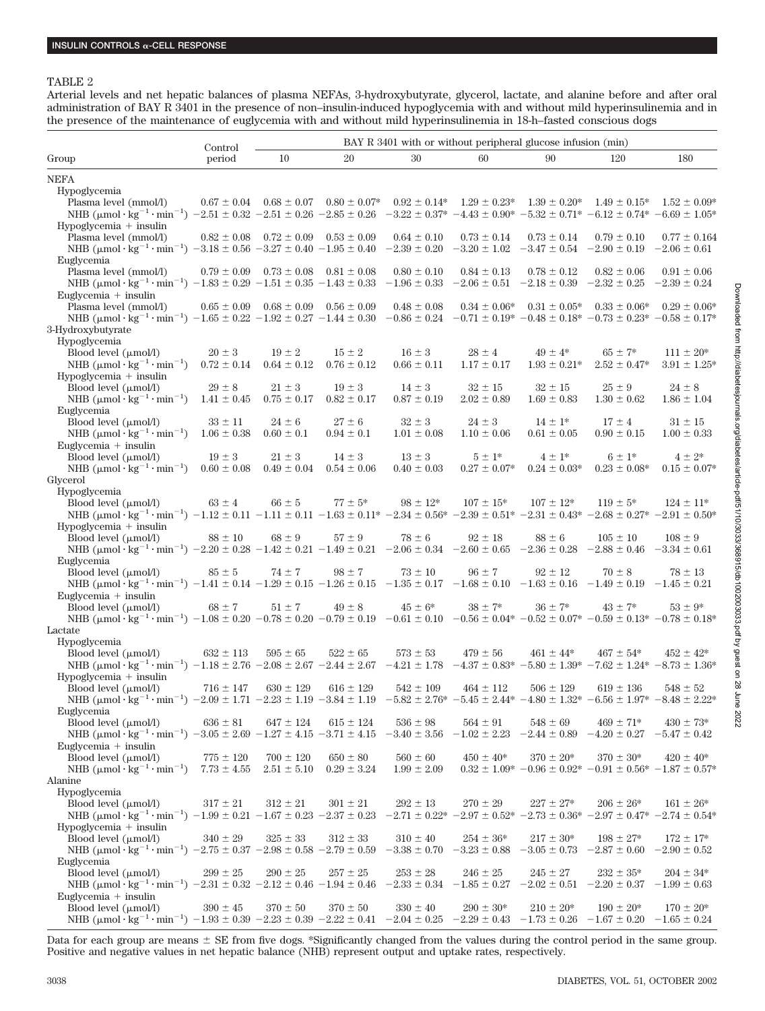#### TABLE 2

Arterial levels and net hepatic balances of plasma NEFAs, 3-hydroxybutyrate, glycerol, lactate, and alanine before and after oral administration of BAY R 3401 in the presence of non–insulin-induced hypoglycemia with and without mild hyperinsulinemia and in the presence of the maintenance of euglycemia with and without mild hyperinsulinemia in 18-h–fasted conscious dogs

|                                                                                                                                                                                                    |                 | BAY R 3401 with or without peripheral glucose infusion (min)<br>Control |                               |                                                                                                |                                   |                                                                         |                                                    |                                     |
|----------------------------------------------------------------------------------------------------------------------------------------------------------------------------------------------------|-----------------|-------------------------------------------------------------------------|-------------------------------|------------------------------------------------------------------------------------------------|-----------------------------------|-------------------------------------------------------------------------|----------------------------------------------------|-------------------------------------|
| Group                                                                                                                                                                                              | period          | 10                                                                      | 20                            | 30                                                                                             | 60                                | 90                                                                      | 120                                                | 180                                 |
| <b>NEFA</b>                                                                                                                                                                                        |                 |                                                                         |                               |                                                                                                |                                   |                                                                         |                                                    |                                     |
| Hypoglycemia                                                                                                                                                                                       |                 |                                                                         |                               |                                                                                                |                                   |                                                                         |                                                    |                                     |
| Plasma level (mmol/l)                                                                                                                                                                              |                 | $0.67 \pm 0.04$ $0.68 \pm 0.07$                                         | $0.80 \pm 0.07^{*}$           | $0.92 \pm 0.14*$                                                                               | $1.29 \pm 0.23*$                  | $1.39 \pm 0.20^*$                                                       | $1.49 \pm 0.15^*$                                  | $1.52 \pm 0.09*$                    |
| NHB $(\mu$ mol·kg <sup>-1</sup> ·min <sup>-1</sup> ) -2.51 ± 0.32 -2.51 ± 0.26 -2.85 ± 0.26 -3.22 ± 0.37* -4.43 ± 0.90* -5.32 ± 0.71* -6.12 ± 0.74* -6.69 ± 1.05*                                  |                 |                                                                         |                               |                                                                                                |                                   |                                                                         |                                                    |                                     |
| $Hypoglycemia + insulin$                                                                                                                                                                           |                 |                                                                         |                               |                                                                                                |                                   |                                                                         |                                                    |                                     |
| Plasma level (mmol/l)                                                                                                                                                                              | $0.82 \pm 0.08$ | $0.72 \pm 0.09$                                                         | $0.53 \pm 0.09$               | $0.64 \pm 0.10$                                                                                | $0.73 \pm 0.14$                   | $0.73 \pm 0.14$                                                         | $0.79 \pm 0.10$                                    | $0.77 \pm 0.164$                    |
| NHB $(\mu \text{mol} \cdot \text{kg}^{-1} \cdot \text{min}^{-1})$ -3.18 $\pm$ 0.56 -3.27 $\pm$ 0.40 -1.95 $\pm$ 0.40 -2.39 $\pm$ 0.20<br>Euglycemia                                                |                 |                                                                         |                               |                                                                                                | $-3.20 \pm 1.02$ $-3.47 \pm 0.54$ |                                                                         | $-2.90 \pm 0.19$                                   | $-2.06 \pm 0.61$                    |
| Plasma level (mmol/l)                                                                                                                                                                              | $0.79 \pm 0.09$ | $0.73 \pm 0.08$                                                         | $0.81 \pm 0.08$               | $0.80 \pm 0.10$                                                                                | $0.84 \pm 0.13$                   | $0.78 \pm 0.12$                                                         | $0.82 \pm 0.06$                                    | $0.91 \pm 0.06$                     |
| NHB $(\mu$ mol·kg <sup>-1</sup> ·min <sup>-1</sup> ) -1.83 ± 0.29 -1.51 ± 0.35 -1.43 ± 0.33 -1.96 ± 0.33 -2.06 ± 0.51 -2.18 ± 0.39 -2.32 ± 0.25 -2.39 ± 0.24                                       |                 |                                                                         |                               |                                                                                                |                                   |                                                                         |                                                    |                                     |
| Euglycemia $+$ insulin                                                                                                                                                                             |                 |                                                                         |                               |                                                                                                |                                   |                                                                         |                                                    |                                     |
| Plasma level (mmol/l)                                                                                                                                                                              | $0.65 \pm 0.09$ | $0.68 \pm 0.09$                                                         | $0.56 \pm 0.09$               | $0.48 \pm 0.08$                                                                                | $0.34 \pm 0.06*$                  | $0.31 \pm 0.05^*$                                                       | $0.33 \pm 0.06*$                                   | $0.29 \pm 0.06*$                    |
| NHB $(\mu$ mol·kg <sup>-1</sup> ·min <sup>-1</sup> ) -1.65 ± 0.22 -1.92 ± 0.27 -1.44 ± 0.30 -0.86 ± 0.24 -0.71 ± 0.19* -0.48 ± 0.18* -0.73 ± 0.23* -0.58 ± 0.17*                                   |                 |                                                                         |                               |                                                                                                |                                   |                                                                         |                                                    |                                     |
| 3-Hydroxybutyrate                                                                                                                                                                                  |                 |                                                                         |                               |                                                                                                |                                   |                                                                         |                                                    |                                     |
| Hypoglycemia                                                                                                                                                                                       |                 |                                                                         |                               |                                                                                                |                                   |                                                                         |                                                    |                                     |
| Blood level $(\mu \text{mol/l})$<br>NHB $(\mu \text{mol} \cdot \text{kg}^{-1} \cdot \text{min}^{-1})$                                                                                              | $20 \pm 3$      | $19 \pm 2$<br>$0.72 \pm 0.14$ $0.64 \pm 0.12$                           | $15 \pm 2$<br>$0.76 \pm 0.12$ | $16 \pm 3$<br>$0.66 \pm 0.11$                                                                  | $28 \pm 4$<br>$1.17 \pm 0.17$     | $49 \pm 4*$<br>$1.93 \pm 0.21*$                                         | $65 \pm 7*$<br>$2.52 \pm 0.47*$                    | $111 \pm 20^*$<br>$3.91 \pm 1.25^*$ |
| Hypoglycemia + insulin                                                                                                                                                                             |                 |                                                                         |                               |                                                                                                |                                   |                                                                         |                                                    |                                     |
| Blood level $(\mu \text{mol/l})$                                                                                                                                                                   | $29 \pm 8$      | $21 \pm 3$                                                              | $19 \pm 3$                    | $14 \pm 3$                                                                                     | $32 \pm 15$                       | $32 \pm 15$                                                             | $25 \pm 9$                                         | $24 \pm 8$                          |
| NHB $(\mu \text{mol} \cdot \text{kg}^{-1} \cdot \text{min}^{-1})$                                                                                                                                  | $1.41 \pm 0.45$ | $0.75 \pm 0.17$                                                         | $0.82 \pm 0.17$               | $0.87 \pm 0.19$                                                                                | $2.02 \pm 0.89$                   | $1.69 \pm 0.83$                                                         | $1.30 \pm 0.62$                                    | $1.86 \pm 1.04$                     |
| Euglycemia                                                                                                                                                                                         |                 |                                                                         |                               |                                                                                                |                                   |                                                                         |                                                    |                                     |
| Blood level $(\mu \text{mol/l})$                                                                                                                                                                   | $33 \pm 11$     | $24 \pm 6$                                                              | $27 \pm 6$                    | $32 \pm 3$                                                                                     | $24 \pm 3$                        | $14 \pm 1*$                                                             | $17 \pm 4$                                         | $31 \pm 15$                         |
| NHB $(\mu \text{mol} \cdot \text{kg}^{-1} \cdot \text{min}^{-1})$                                                                                                                                  | $1.06 \pm 0.38$ | $0.60 \pm 0.1$                                                          | $0.94 \pm 0.1$                | $1.01 \pm 0.08$                                                                                | $1.10 \pm 0.06$                   | $0.61 \pm 0.05$                                                         | $0.90 \pm 0.15$                                    | $1.00 \pm 0.33$                     |
| Euglycemia $+$ insulin<br>Blood level $(\mu \text{mol/l})$                                                                                                                                         | $19 \pm 3$      | $21 \pm 3$                                                              | $14 \pm 3$                    | $13 \pm 3$                                                                                     | $5 \pm 1^*$                       | $4 \pm 1^*$                                                             | $6 \pm 1*$                                         | $4 \pm 2^*$                         |
| NHB $(\mu \text{mol} \cdot \text{kg}^{-1} \cdot \text{min}^{-1})$                                                                                                                                  | $0.60 \pm 0.08$ | $0.49 \pm 0.04$                                                         | $0.54 \pm 0.06$               | $0.40 \pm 0.03$                                                                                | $0.27 \pm 0.07*$                  | $0.24 \pm 0.03*$                                                        | $0.23 \pm 0.08^*$                                  | $0.15 \pm 0.07*$                    |
| Glycerol                                                                                                                                                                                           |                 |                                                                         |                               |                                                                                                |                                   |                                                                         |                                                    |                                     |
| Hypoglycemia                                                                                                                                                                                       |                 |                                                                         |                               |                                                                                                |                                   |                                                                         |                                                    |                                     |
| Blood level (µmol/l)                                                                                                                                                                               | $63 \pm 4$      | $66 \pm 5$                                                              | $77 \pm 5^*$                  | $98 \pm 12*$                                                                                   | $107 \pm 15*$                     | $107 \pm 12*$                                                           | $119 \pm 5^*$                                      | $124 \pm 11^*$                      |
| NHB $(\mu$ mol·kg <sup>-1</sup> ·min <sup>-1</sup> ) -1.12 ± 0.11 -1.11 ± 0.11 -1.63 ± 0.11* -2.34 ± 0.56* -2.39 ± 0.51* -2.31 ± 0.43* -2.68 ± 0.27* -2.91 ± 0.50*                                 |                 |                                                                         |                               |                                                                                                |                                   |                                                                         |                                                    |                                     |
| $Hypoglycemia + insulin$                                                                                                                                                                           |                 |                                                                         |                               |                                                                                                |                                   |                                                                         |                                                    |                                     |
| Blood level $(\mu \text{mol/l})$<br>NHB ( $\mu$ mol· $\text{kg}^{-1}$ ·min <sup>-1</sup> ) -2.20 ± 0.28 -1.42 ± 0.21 -1.49 ± 0.21 -2.06 ± 0.34 -2.60 ± 0.65 -2.36 ± 0.28 -2.88 ± 0.46 -3.34 ± 0.61 | $88 \pm 10$     | $68 \pm 9$                                                              | $57 \pm 9$                    | $78 \pm 6$                                                                                     | $92 \pm 18$                       | $88 \pm 6$                                                              | $105 \pm 10$                                       | $108 \pm 9$                         |
| Euglycemia                                                                                                                                                                                         |                 |                                                                         |                               |                                                                                                |                                   |                                                                         |                                                    |                                     |
| Blood level $(\mu \text{mol/l})$                                                                                                                                                                   | $85 \pm 5$      | $74 \pm 7$                                                              | $98 \pm 7$                    | $73 \pm 10$                                                                                    | $96 \pm 7$                        | $92 \pm 12$                                                             | $70 \pm 8$                                         | $78 \pm 13$                         |
| NHB $(\mu$ mol·kg <sup>-1</sup> ·min <sup>-1</sup> ) -1.41 ± 0.14 -1.29 ± 0.15 -1.26 ± 0.15 -1.35 ± 0.17 -1.68 ± 0.10 -1.63 ± 0.16 -1.49 ± 0.19 -1.45 ± 0.21                                       |                 |                                                                         |                               |                                                                                                |                                   |                                                                         |                                                    |                                     |
| Euglycemia $+$ insulin                                                                                                                                                                             |                 |                                                                         |                               |                                                                                                |                                   |                                                                         |                                                    |                                     |
| Blood level $(\mu \text{mol/l})$                                                                                                                                                                   | $68 \pm 7$      | $51 \pm 7$                                                              | $49 \pm 8$                    | $45 \pm 6^*$                                                                                   | $38 \pm 7*$                       | $36 \pm 7*$                                                             | $43 \pm 7*$                                        | $53 \pm 9^*$                        |
| NHB $(\mu$ mol·kg <sup>-1</sup> ·min <sup>-1</sup> ) -1.08 ± 0.20 -0.78 ± 0.20 -0.79 ± 0.19 -0.61 ± 0.10 -0.56 ± 0.04* -0.52 ± 0.07* -0.59 ± 0.13* -0.78 ± 0.18*                                   |                 |                                                                         |                               |                                                                                                |                                   |                                                                         |                                                    |                                     |
| Lactate                                                                                                                                                                                            |                 |                                                                         |                               |                                                                                                |                                   |                                                                         |                                                    |                                     |
| Hypoglycemia<br>Blood level $(\mu \text{mol/l})$                                                                                                                                                   | $632 \pm 113$   | $595 \pm 65$                                                            | $522 \pm 65$                  | $573 \pm 53$                                                                                   | $479 \pm 56$                      | $461 \pm 44$ *                                                          | $467 \pm 54*$                                      | $452 \pm 42^*$                      |
| NHB $(\mu$ mol·kg <sup>-1</sup> ·min <sup>-1</sup> ) -1.18 ± 2.76 -2.08 ± 2.67 -2.44 ± 2.67 -4.21 ± 1.78 -4.37 ± 0.83* -5.80 ± 1.39* -7.62 ± 1.24* -8.73 ± 1.36*                                   |                 |                                                                         |                               |                                                                                                |                                   |                                                                         |                                                    |                                     |
| $Hypoglycemia + insulin$                                                                                                                                                                           |                 |                                                                         |                               |                                                                                                |                                   |                                                                         |                                                    |                                     |
| Blood level $(\mu \text{mol/l})$                                                                                                                                                                   | $716 \pm 147$   | $630 \pm 129$                                                           | $616 \pm 129$                 | $542 \pm 109$                                                                                  | $464 \pm 112$                     | $506 \pm 129$                                                           | $619 \pm 136$                                      | $548 \pm 52$                        |
| NHB $(\mu \text{mol} \cdot \text{kg}^{-1} \cdot \text{min}^{-1})$ -2.09 ± 1.71 -2.23 ± 1.19 -3.84 ± 1.19 -5.82 ± 2.76* -5.45 ± 2.44* -4.80 ± 1.32* -6.56 ± 1.97* -8.48 ± 2.22*                     |                 |                                                                         |                               |                                                                                                |                                   |                                                                         |                                                    |                                     |
| Euglycemia                                                                                                                                                                                         |                 |                                                                         |                               |                                                                                                |                                   |                                                                         |                                                    |                                     |
| Blood level $(\mu \text{mol/l})$<br>NHB ( $\mu$ mol·kg <sup>-1</sup> ·min <sup>-1</sup> ) -3.05 ± 2.69 -1.27 ± 4.15 -3.71 ± 4.15 -3.40 ± 3.56 -1.02 ± 2.23 -2.44 ± 0.89                            | $636 \pm 81$    | $647 \pm 124$                                                           | $615 \pm 124$                 | $536 \pm 98$                                                                                   | $564 \pm 91$                      | $548 \pm 69$                                                            | $469 \pm 71*$<br>$-4.20 \pm 0.27$ $-5.47 \pm 0.42$ | $430 \pm 73*$                       |
| Euglycemia $+$ insulin                                                                                                                                                                             |                 |                                                                         |                               |                                                                                                |                                   |                                                                         |                                                    |                                     |
| Blood level $(\mu \text{mol/l})$                                                                                                                                                                   | $775 \pm 120$   | $700 \pm 120$                                                           | $650 \pm 80$                  | $560 \pm 60$                                                                                   | $450 \pm 40*$                     | $370 \pm 20*$                                                           | $370 \pm 30*$                                      | $420 \pm 40*$                       |
| NHB $(\mu \text{mol} \cdot \text{kg}^{-1} \cdot \text{min}^{-1})$                                                                                                                                  | $7.73 \pm 4.55$ | $2.51 \pm 5.10$                                                         | $0.29 \pm 3.24$               | $1.99 \pm 2.09$                                                                                |                                   | $0.32 \pm 1.09^* - 0.96 \pm 0.92^* - 0.91 \pm 0.56^* - 1.87 \pm 0.57^*$ |                                                    |                                     |
| Alanine                                                                                                                                                                                            |                 |                                                                         |                               |                                                                                                |                                   |                                                                         |                                                    |                                     |
| Hypoglycemia                                                                                                                                                                                       |                 |                                                                         |                               |                                                                                                |                                   |                                                                         |                                                    |                                     |
| Blood level $(\mu \text{mol/l})$                                                                                                                                                                   | $317 \pm 21$    | $312 \pm 21$                                                            | $301 \pm 21$                  | $292 \pm 13$                                                                                   | $270 \pm 29$                      | $227 \pm 27*$                                                           | $206 \pm 26*$                                      | $161 \pm 26*$                       |
| NHB $(\mu$ mol·kg <sup>-1</sup> ·min <sup>-1</sup> $)$ -1.99 $\pm$ 0.21 -1.67 $\pm$ 0.23 -2.37 $\pm$ 0.23<br>$Hypoglycemia + insulin$                                                              |                 |                                                                         |                               | $-2.71 \pm 0.22^*$ $-2.97 \pm 0.52^*$ $-2.73 \pm 0.36^*$ $-2.97 \pm 0.47^*$ $-2.74 \pm 0.54^*$ |                                   |                                                                         |                                                    |                                     |
| Blood level $(\mu \text{mol/l})$                                                                                                                                                                   | $340 \pm 29$    | $325 \pm 33$                                                            | $312 \pm 33$                  | $310 \pm 40$                                                                                   | $254 \pm 36*$                     | $217 \pm 30*$                                                           | $198 \pm 27*$                                      | $172 \pm 17*$                       |
| NHB $(\mu$ mol·kg <sup>-1</sup> ·min <sup>-1</sup> ) -2.75 ± 0.37 -2.98 ± 0.58 -2.79 ± 0.59 -3.38 ± 0.70 -3.23 ± 0.88 -3.05 ± 0.73 -2.87 ± 0.60 -2.90 ± 0.52                                       |                 |                                                                         |                               |                                                                                                |                                   |                                                                         |                                                    |                                     |
| Euglycemia                                                                                                                                                                                         |                 |                                                                         |                               |                                                                                                |                                   |                                                                         |                                                    |                                     |
| Blood level $(\mu \text{mol/l})$                                                                                                                                                                   | $299 \pm 25$    | $290 \pm 25$                                                            | $257 \pm 25$                  | $253 \pm 28$                                                                                   | $246 \pm 25$                      | $245 \pm 27$                                                            | $232 \pm 35^*$                                     | $204 \pm 34*$                       |
| NHB $(\mu$ mol·kg <sup>-1</sup> ·min <sup>-1</sup> ) -2.31 ± 0.32 -2.12 ± 0.46 -1.94 ± 0.46 -2.33 ± 0.34 -1.85 ± 0.27 -2.02 ± 0.51 -2.20 ± 0.37 -1.99 ± 0.63                                       |                 |                                                                         |                               |                                                                                                |                                   |                                                                         |                                                    |                                     |
| Euglycemia $+$ insulin                                                                                                                                                                             |                 |                                                                         |                               |                                                                                                |                                   |                                                                         |                                                    |                                     |
| Blood level $(\mu \text{mol/l})$                                                                                                                                                                   | $390 \pm 45$    | $370 \pm 50$                                                            | $370 \pm 50$                  | $330 \pm 40$                                                                                   | $290 \pm 30*$                     | $210 \pm 20*$                                                           | $190 \pm 20*$                                      | $170 \pm 20*$                       |
| NHB $(\mu$ mol·kg <sup>-1</sup> ·min <sup>-1</sup> ) -1.93 ± 0.39 -2.23 ± 0.39 -2.22 ± 0.41 -2.04 ± 0.25 -2.29 ± 0.43 -1.73 ± 0.26 -1.67 ± 0.20 -1.65 ± 0.24                                       |                 |                                                                         |                               |                                                                                                |                                   |                                                                         |                                                    |                                     |

Data for each group are means  $\pm$  SE from five dogs. \*Significantly changed from the values during the control period in the same group. Positive and negative values in net hepatic balance (NHB) represent output and uptake rates, respectively.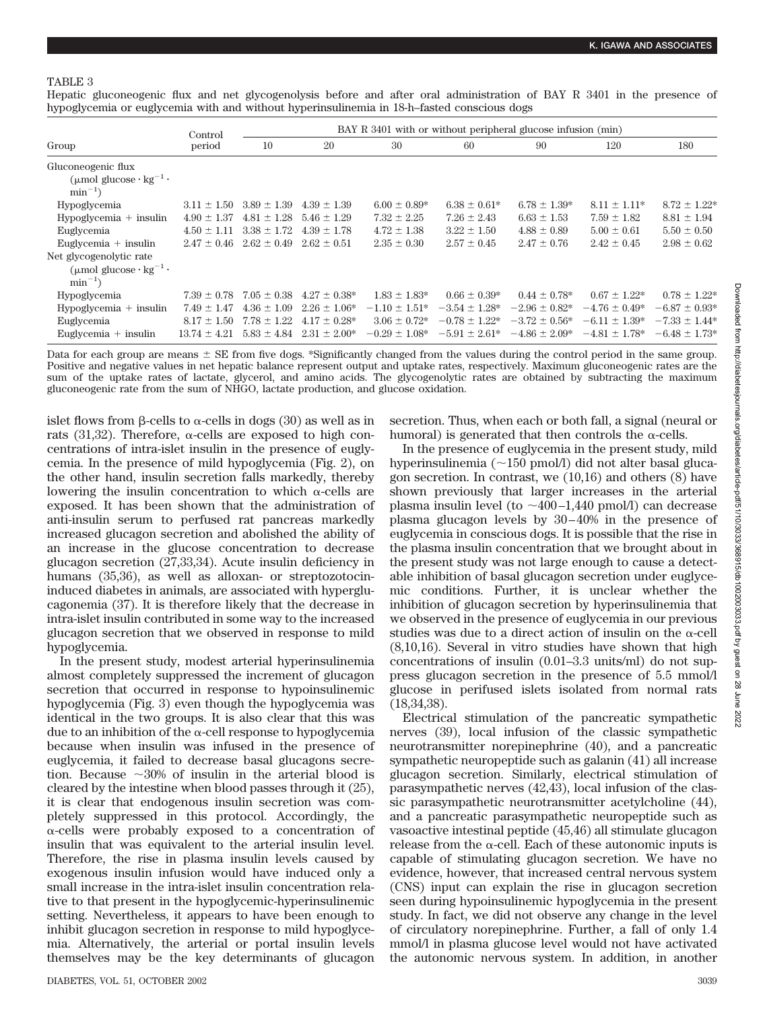# TABLE 3

Hepatic gluconeogenic flux and net glycogenolysis before and after oral administration of BAY R 3401 in the presence of hypoglycemia or euglycemia with and without hyperinsulinemia in 18-h–fasted conscious dogs

|                                                                                                | Control<br>period | BAY R 3401 with or without peripheral glucose infusion (min) |                   |                    |                    |                    |                                       |                   |  |
|------------------------------------------------------------------------------------------------|-------------------|--------------------------------------------------------------|-------------------|--------------------|--------------------|--------------------|---------------------------------------|-------------------|--|
| Group                                                                                          |                   | 10                                                           | 20                | 30                 | 60                 | 90                 | 120                                   | 180               |  |
| Gluconeogenic flux<br>$(\mu \text{mol glucose} \cdot \text{kg}^{-1} \cdot$<br>$\min^{-1}$      |                   |                                                              |                   |                    |                    |                    |                                       |                   |  |
| Hypoglycemia                                                                                   | $3.11 \pm 1.50$   | $3.89 \pm 1.39$                                              | $4.39 \pm 1.39$   | $6.00 \pm 0.89*$   | $6.38 \pm 0.61*$   | $6.78 \pm 1.39*$   | $8.11 \pm 1.11*$                      | $8.72 \pm 1.22^*$ |  |
| $Hypoglycemia + insulin$                                                                       | $4.90 \pm 1.37$   | $4.81 \pm 1.28$                                              | $5.46 \pm 1.29$   | $7.32 \pm 2.25$    | $7.26 \pm 2.43$    | $6.63 \pm 1.53$    | $7.59 \pm 1.82$                       | $8.81 \pm 1.94$   |  |
| Euglycemia                                                                                     | $4.50 \pm 1.11$   | $3.38 \pm 1.72$                                              | $4.39 \pm 1.78$   | $4.72 \pm 1.38$    | $3.22 \pm 1.50$    | $4.88 \pm 0.89$    | $5.00 \pm 0.61$                       | $5.50 \pm 0.50$   |  |
| Euglycemia $+$ insulin                                                                         | $2.47 \pm 0.46$   | $2.62 \pm 0.49$                                              | $2.62 \pm 0.51$   | $2.35 \pm 0.30$    | $2.57 \pm 0.45$    | $2.47 \pm 0.76$    | $2.42 \pm 0.45$                       | $2.98 \pm 0.62$   |  |
| Net glycogenolytic rate<br>$(\mu \text{mol glucose} \cdot \text{kg}^{-1} \cdot$<br>$\min^{-1}$ |                   |                                                              |                   |                    |                    |                    |                                       |                   |  |
| Hypoglycemia                                                                                   | $7.39 \pm 0.78$   | $7.05 \pm 0.38$                                              | $4.27 \pm 0.38^*$ | $1.83 \pm 1.83*$   | $0.66 \pm 0.39*$   | $0.44 \pm 0.78^*$  | $0.67 \pm 1.22*$                      | $0.78 \pm 1.22^*$ |  |
| $Hypoglycemia + insulin$                                                                       | $7.49 \pm 1.47$   | $4.36 \pm 1.09$                                              | $2.26 \pm 1.06*$  | $-1.10 \pm 1.51*$  | $-3.54 \pm 1.28^*$ | $-2.96 \pm 0.82^*$ | $-4.76 \pm 0.49*$                     | $-6.87 \pm 0.93*$ |  |
| Euglycemia                                                                                     | $8.17 \pm 1.50$   | $7.78 \pm 1.22$                                              | $4.17 \pm 0.28^*$ | $3.06 \pm 0.72*$   | $-0.78 \pm 1.22^*$ | $-3.72 \pm 0.56^*$ | $-6.11 \pm 1.39*$                     | $-7.33 \pm 1.44*$ |  |
| Euglycemia $+$ insulin                                                                         | $13.74 \pm 4.21$  | $5.83 \pm 4.84$                                              | $2.31 \pm 2.00*$  | $-0.29 \pm 1.08^*$ | $-5.91 \pm 2.61*$  |                    | $-4.86 \pm 2.09^*$ $-4.81 \pm 1.78^*$ | $-6.48 \pm 1.73*$ |  |

Data for each group are means  $\pm$  SE from five dogs. \*Significantly changed from the values during the control period in the same group. Positive and negative values in net hepatic balance represent output and uptake rates, respectively. Maximum gluconeogenic rates are the sum of the uptake rates of lactate, glycerol, and amino acids. The glycogenolytic rates are obtained by subtracting the maximum gluconeogenic rate from the sum of NHGO, lactate production, and glucose oxidation.

islet flows from  $\beta$ -cells to  $\alpha$ -cells in dogs (30) as well as in rats (31,32). Therefore,  $\alpha$ -cells are exposed to high concentrations of intra-islet insulin in the presence of euglycemia. In the presence of mild hypoglycemia (Fig. 2), on the other hand, insulin secretion falls markedly, thereby lowering the insulin concentration to which  $\alpha$ -cells are exposed. It has been shown that the administration of anti-insulin serum to perfused rat pancreas markedly increased glucagon secretion and abolished the ability of an increase in the glucose concentration to decrease glucagon secretion (27,33,34). Acute insulin deficiency in humans (35,36), as well as alloxan- or streptozotocininduced diabetes in animals, are associated with hyperglucagonemia (37). It is therefore likely that the decrease in intra-islet insulin contributed in some way to the increased glucagon secretion that we observed in response to mild hypoglycemia.

In the present study, modest arterial hyperinsulinemia almost completely suppressed the increment of glucagon secretion that occurred in response to hypoinsulinemic hypoglycemia (Fig. 3) even though the hypoglycemia was identical in the two groups. It is also clear that this was due to an inhibition of the  $\alpha$ -cell response to hypoglycemia because when insulin was infused in the presence of euglycemia, it failed to decrease basal glucagons secretion. Because  $\sim$ 30% of insulin in the arterial blood is cleared by the intestine when blood passes through it (25), it is clear that endogenous insulin secretion was completely suppressed in this protocol. Accordingly, the  $\alpha$ -cells were probably exposed to a concentration of insulin that was equivalent to the arterial insulin level. Therefore, the rise in plasma insulin levels caused by exogenous insulin infusion would have induced only a small increase in the intra-islet insulin concentration relative to that present in the hypoglycemic-hyperinsulinemic setting. Nevertheless, it appears to have been enough to inhibit glucagon secretion in response to mild hypoglycemia. Alternatively, the arterial or portal insulin levels themselves may be the key determinants of glucagon

secretion. Thus, when each or both fall, a signal (neural or humoral) is generated that then controls the  $\alpha$ -cells.

In the presence of euglycemia in the present study, mild hyperinsulinemia ( $\sim$ 150 pmol/l) did not alter basal glucagon secretion. In contrast, we (10,16) and others (8) have shown previously that larger increases in the arterial plasma insulin level (to  $\sim$ 400–1,440 pmol/l) can decrease plasma glucagon levels by 30–40% in the presence of euglycemia in conscious dogs. It is possible that the rise in the plasma insulin concentration that we brought about in the present study was not large enough to cause a detectable inhibition of basal glucagon secretion under euglycemic conditions. Further, it is unclear whether the inhibition of glucagon secretion by hyperinsulinemia that we observed in the presence of euglycemia in our previous studies was due to a direct action of insulin on the  $\alpha$ -cell (8,10,16). Several in vitro studies have shown that high concentrations of insulin (0.01–3.3 units/ml) do not suppress glucagon secretion in the presence of 5.5 mmol/l glucose in perifused islets isolated from normal rats (18,34,38).

Electrical stimulation of the pancreatic sympathetic nerves (39), local infusion of the classic sympathetic neurotransmitter norepinephrine (40), and a pancreatic sympathetic neuropeptide such as galanin (41) all increase glucagon secretion. Similarly, electrical stimulation of parasympathetic nerves (42,43), local infusion of the classic parasympathetic neurotransmitter acetylcholine (44), and a pancreatic parasympathetic neuropeptide such as vasoactive intestinal peptide (45,46) all stimulate glucagon release from the  $\alpha$ -cell. Each of these autonomic inputs is capable of stimulating glucagon secretion. We have no evidence, however, that increased central nervous system (CNS) input can explain the rise in glucagon secretion seen during hypoinsulinemic hypoglycemia in the present study. In fact, we did not observe any change in the level of circulatory norepinephrine. Further, a fall of only 1.4 mmol/l in plasma glucose level would not have activated the autonomic nervous system. In addition, in another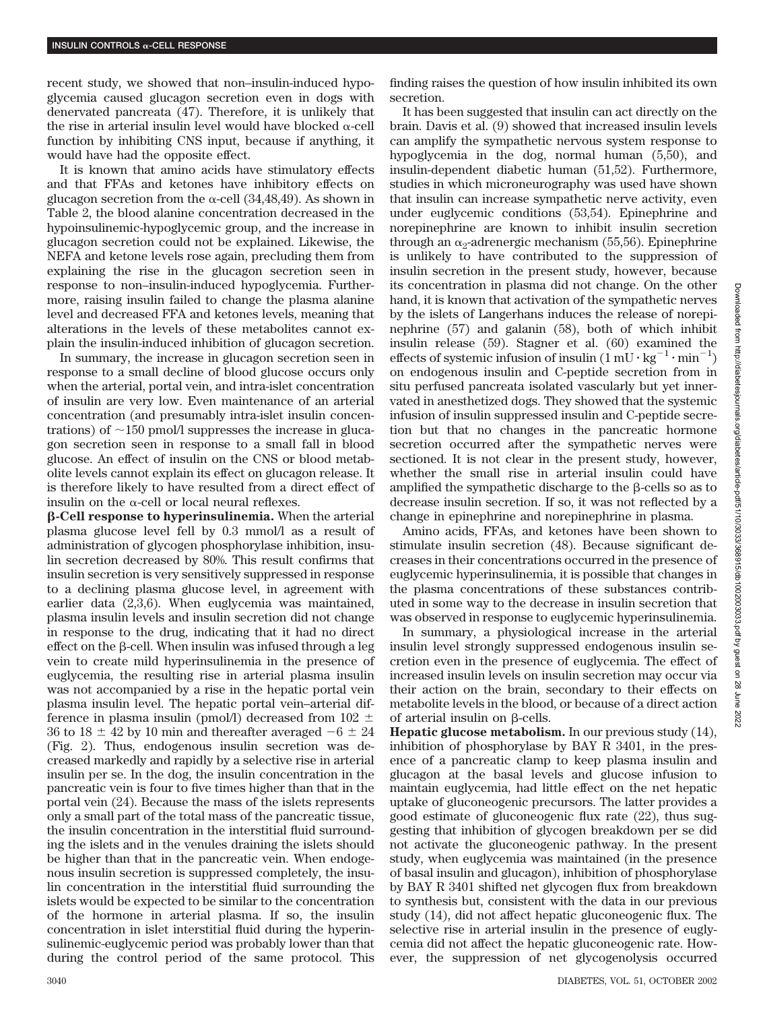recent study, we showed that non–insulin-induced hypoglycemia caused glucagon secretion even in dogs with denervated pancreata (47). Therefore, it is unlikely that the rise in arterial insulin level would have blocked  $\alpha$ -cell function by inhibiting CNS input, because if anything, it would have had the opposite effect.

It is known that amino acids have stimulatory effects and that FFAs and ketones have inhibitory effects on glucagon secretion from the  $\alpha$ -cell (34,48,49). As shown in Table 2, the blood alanine concentration decreased in the hypoinsulinemic-hypoglycemic group, and the increase in glucagon secretion could not be explained. Likewise, the NEFA and ketone levels rose again, precluding them from explaining the rise in the glucagon secretion seen in response to non–insulin-induced hypoglycemia. Furthermore, raising insulin failed to change the plasma alanine level and decreased FFA and ketones levels, meaning that alterations in the levels of these metabolites cannot explain the insulin-induced inhibition of glucagon secretion.

In summary, the increase in glucagon secretion seen in response to a small decline of blood glucose occurs only when the arterial, portal vein, and intra-islet concentration of insulin are very low. Even maintenance of an arterial concentration (and presumably intra-islet insulin concentrations) of  $\sim$ 150 pmol/l suppresses the increase in glucagon secretion seen in response to a small fall in blood glucose. An effect of insulin on the CNS or blood metabolite levels cannot explain its effect on glucagon release. It is therefore likely to have resulted from a direct effect of insulin on the  $\alpha$ -cell or local neural reflexes.

**-Cell response to hyperinsulinemia.** When the arterial plasma glucose level fell by 0.3 mmol/l as a result of administration of glycogen phosphorylase inhibition, insulin secretion decreased by 80%. This result confirms that insulin secretion is very sensitively suppressed in response to a declining plasma glucose level, in agreement with earlier data (2,3,6). When euglycemia was maintained, plasma insulin levels and insulin secretion did not change in response to the drug, indicating that it had no direct effect on the  $\beta$ -cell. When insulin was infused through a leg vein to create mild hyperinsulinemia in the presence of euglycemia, the resulting rise in arterial plasma insulin was not accompanied by a rise in the hepatic portal vein plasma insulin level. The hepatic portal vein–arterial difference in plasma insulin (pmol/l) decreased from 102  $\pm$ 36 to 18  $\pm$  42 by 10 min and thereafter averaged  $-6 \pm 24$ (Fig. 2). Thus, endogenous insulin secretion was decreased markedly and rapidly by a selective rise in arterial insulin per se. In the dog, the insulin concentration in the pancreatic vein is four to five times higher than that in the portal vein (24). Because the mass of the islets represents only a small part of the total mass of the pancreatic tissue, the insulin concentration in the interstitial fluid surrounding the islets and in the venules draining the islets should be higher than that in the pancreatic vein. When endogenous insulin secretion is suppressed completely, the insulin concentration in the interstitial fluid surrounding the islets would be expected to be similar to the concentration of the hormone in arterial plasma. If so, the insulin concentration in islet interstitial fluid during the hyperinsulinemic-euglycemic period was probably lower than that during the control period of the same protocol. This finding raises the question of how insulin inhibited its own secretion.

It has been suggested that insulin can act directly on the brain. Davis et al. (9) showed that increased insulin levels can amplify the sympathetic nervous system response to hypoglycemia in the dog, normal human (5,50), and insulin-dependent diabetic human (51,52). Furthermore, studies in which microneurography was used have shown that insulin can increase sympathetic nerve activity, even under euglycemic conditions (53,54). Epinephrine and norepinephrine are known to inhibit insulin secretion through an  $\alpha_2$ -adrenergic mechanism (55,56). Epinephrine is unlikely to have contributed to the suppression of insulin secretion in the present study, however, because its concentration in plasma did not change. On the other hand, it is known that activation of the sympathetic nerves by the islets of Langerhans induces the release of norepinephrine (57) and galanin (58), both of which inhibit insulin release (59). Stagner et al. (60) examined the effects of systemic infusion of insulin  $(1 \text{ mU} \cdot \text{kg}^{-1} \cdot \text{min}^{-1})$ on endogenous insulin and C-peptide secretion from in situ perfused pancreata isolated vascularly but yet innervated in anesthetized dogs. They showed that the systemic infusion of insulin suppressed insulin and C-peptide secretion but that no changes in the pancreatic hormone secretion occurred after the sympathetic nerves were sectioned. It is not clear in the present study, however, whether the small rise in arterial insulin could have amplified the sympathetic discharge to the  $\beta$ -cells so as to decrease insulin secretion. If so, it was not reflected by a change in epinephrine and norepinephrine in plasma.

Amino acids, FFAs, and ketones have been shown to stimulate insulin secretion (48). Because significant decreases in their concentrations occurred in the presence of euglycemic hyperinsulinemia, it is possible that changes in the plasma concentrations of these substances contributed in some way to the decrease in insulin secretion that was observed in response to euglycemic hyperinsulinemia.

In summary, a physiological increase in the arterial insulin level strongly suppressed endogenous insulin secretion even in the presence of euglycemia. The effect of increased insulin levels on insulin secretion may occur via their action on the brain, secondary to their effects on metabolite levels in the blood, or because of a direct action of arterial insulin on B-cells.

**Hepatic glucose metabolism.** In our previous study (14), inhibition of phosphorylase by BAY R 3401, in the presence of a pancreatic clamp to keep plasma insulin and glucagon at the basal levels and glucose infusion to maintain euglycemia, had little effect on the net hepatic uptake of gluconeogenic precursors. The latter provides a good estimate of gluconeogenic flux rate (22), thus suggesting that inhibition of glycogen breakdown per se did not activate the gluconeogenic pathway. In the present study, when euglycemia was maintained (in the presence of basal insulin and glucagon), inhibition of phosphorylase by BAY R 3401 shifted net glycogen flux from breakdown to synthesis but, consistent with the data in our previous study (14), did not affect hepatic gluconeogenic flux. The selective rise in arterial insulin in the presence of euglycemia did not affect the hepatic gluconeogenic rate. However, the suppression of net glycogenolysis occurred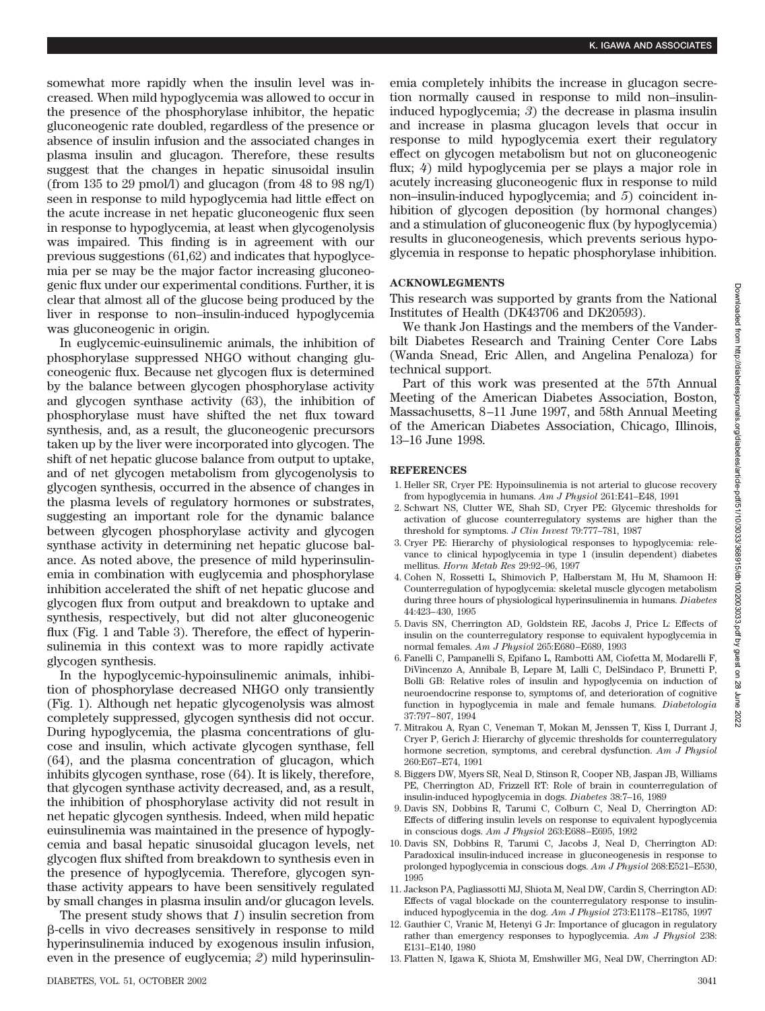somewhat more rapidly when the insulin level was increased. When mild hypoglycemia was allowed to occur in the presence of the phosphorylase inhibitor, the hepatic gluconeogenic rate doubled, regardless of the presence or absence of insulin infusion and the associated changes in plasma insulin and glucagon. Therefore, these results suggest that the changes in hepatic sinusoidal insulin (from  $135$  to  $29$  pmol/l) and glucagon (from  $48$  to  $98$  ng/l) seen in response to mild hypoglycemia had little effect on the acute increase in net hepatic gluconeogenic flux seen in response to hypoglycemia, at least when glycogenolysis was impaired. This finding is in agreement with our previous suggestions (61,62) and indicates that hypoglycemia per se may be the major factor increasing gluconeogenic flux under our experimental conditions. Further, it is clear that almost all of the glucose being produced by the liver in response to non–insulin-induced hypoglycemia was gluconeogenic in origin.

In euglycemic-euinsulinemic animals, the inhibition of phosphorylase suppressed NHGO without changing gluconeogenic flux. Because net glycogen flux is determined by the balance between glycogen phosphorylase activity and glycogen synthase activity (63), the inhibition of phosphorylase must have shifted the net flux toward synthesis, and, as a result, the gluconeogenic precursors taken up by the liver were incorporated into glycogen. The shift of net hepatic glucose balance from output to uptake, and of net glycogen metabolism from glycogenolysis to glycogen synthesis, occurred in the absence of changes in the plasma levels of regulatory hormones or substrates, suggesting an important role for the dynamic balance between glycogen phosphorylase activity and glycogen synthase activity in determining net hepatic glucose balance. As noted above, the presence of mild hyperinsulinemia in combination with euglycemia and phosphorylase inhibition accelerated the shift of net hepatic glucose and glycogen flux from output and breakdown to uptake and synthesis, respectively, but did not alter gluconeogenic flux (Fig. 1 and Table 3). Therefore, the effect of hyperinsulinemia in this context was to more rapidly activate glycogen synthesis.

In the hypoglycemic-hypoinsulinemic animals, inhibition of phosphorylase decreased NHGO only transiently (Fig. 1). Although net hepatic glycogenolysis was almost completely suppressed, glycogen synthesis did not occur. During hypoglycemia, the plasma concentrations of glucose and insulin, which activate glycogen synthase, fell (64), and the plasma concentration of glucagon, which inhibits glycogen synthase, rose (64). It is likely, therefore, that glycogen synthase activity decreased, and, as a result, the inhibition of phosphorylase activity did not result in net hepatic glycogen synthesis. Indeed, when mild hepatic euinsulinemia was maintained in the presence of hypoglycemia and basal hepatic sinusoidal glucagon levels, net glycogen flux shifted from breakdown to synthesis even in the presence of hypoglycemia. Therefore, glycogen synthase activity appears to have been sensitively regulated by small changes in plasma insulin and/or glucagon levels.

The present study shows that *1*) insulin secretion from -cells in vivo decreases sensitively in response to mild hyperinsulinemia induced by exogenous insulin infusion, even in the presence of euglycemia; *2*) mild hyperinsulinemia completely inhibits the increase in glucagon secretion normally caused in response to mild non–insulininduced hypoglycemia; *3*) the decrease in plasma insulin and increase in plasma glucagon levels that occur in response to mild hypoglycemia exert their regulatory effect on glycogen metabolism but not on gluconeogenic flux; *4*) mild hypoglycemia per se plays a major role in acutely increasing gluconeogenic flux in response to mild non–insulin-induced hypoglycemia; and *5*) coincident inhibition of glycogen deposition (by hormonal changes) and a stimulation of gluconeogenic flux (by hypoglycemia) results in gluconeogenesis, which prevents serious hypoglycemia in response to hepatic phosphorylase inhibition.

# **ACKNOWLEGMENTS**

This research was supported by grants from the National Institutes of Health (DK43706 and DK20593).

We thank Jon Hastings and the members of the Vanderbilt Diabetes Research and Training Center Core Labs (Wanda Snead, Eric Allen, and Angelina Penaloza) for technical support.

Part of this work was presented at the 57th Annual Meeting of the American Diabetes Association, Boston, Massachusetts, 8–11 June 1997, and 58th Annual Meeting of the American Diabetes Association, Chicago, Illinois, 13–16 June 1998.

# **REFERENCES**

- 1. Heller SR, Cryer PE: Hypoinsulinemia is not arterial to glucose recovery from hypoglycemia in humans. *Am J Physiol* 261:E41–E48, 1991
- 2. Schwart NS, Clutter WE, Shah SD, Cryer PE: Glycemic thresholds for activation of glucose counterregulatory systems are higher than the threshold for symptoms. *J Clin Invest* 79:777–781, 1987
- 3. Cryer PE: Hierarchy of physiological responses to hypoglycemia: relevance to clinical hypoglycemia in type 1 (insulin dependent) diabetes mellitus. *Horm Metab Res* 29:92–96, 1997
- 4. Cohen N, Rossetti L, Shimovich P, Halberstam M, Hu M, Shamoon H: Counterregulation of hypoglycemia: skeletal muscle glycogen metabolism during three hours of physiological hyperinsulinemia in humans. *Diabetes* 44:423–430, 1995
- 5. Davis SN, Cherrington AD, Goldstein RE, Jacobs J, Price L: Effects of insulin on the counterregulatory response to equivalent hypoglycemia in normal females. *Am J Physiol* 265:E680–E689, 1993
- 6. Fanelli C, Pampanelli S, Epifano L, Rambotti AM, Ciofetta M, Modarelli F, DiVincenzo A, Annibale B, Lepare M, Lalli C, DelSindaco P, Brunetti P, Bolli GB: Relative roles of insulin and hypoglycemia on induction of neuroendocrine response to, symptoms of, and deterioration of cognitive function in hypoglycemia in male and female humans. *Diabetologia* 37:797–807, 1994
- 7. Mitrakou A, Ryan C, Veneman T, Mokan M, Jenssen T, Kiss I, Durrant J, Cryer P, Gerich J: Hierarchy of glycemic thresholds for counterregulatory hormone secretion, symptoms, and cerebral dysfunction. *Am J Physiol* 260:E67–E74, 1991
- 8. Biggers DW, Myers SR, Neal D, Stinson R, Cooper NB, Jaspan JB, Williams PE, Cherrington AD, Frizzell RT: Role of brain in counterregulation of insulin-induced hypoglycemia in dogs. *Diabetes* 38:7–16, 1989
- 9. Davis SN, Dobbins R, Tarumi C, Colburn C, Neal D, Cherrington AD: Effects of differing insulin levels on response to equivalent hypoglycemia in conscious dogs. *Am J Physiol* 263:E688–E695, 1992
- 10. Davis SN, Dobbins R, Tarumi C, Jacobs J, Neal D, Cherrington AD: Paradoxical insulin-induced increase in gluconeogenesis in response to prolonged hypoglycemia in conscious dogs. *Am J Physiol* 268:E521–E530, 1995
- 11. Jackson PA, Pagliassotti MJ, Shiota M, Neal DW, Cardin S, Cherrington AD: Effects of vagal blockade on the counterregulatory response to insulininduced hypoglycemia in the dog. *Am J Physiol* 273:E1178–E1785, 1997
- 12. Gauthier C, Vranic M, Hetenyi G Jr: Importance of glucagon in regulatory rather than emergency responses to hypoglycemia. *Am J Physiol* 238: E131–E140, 1980
- 13. Flatten N, Igawa K, Shiota M, Emshwiller MG, Neal DW, Cherrington AD: